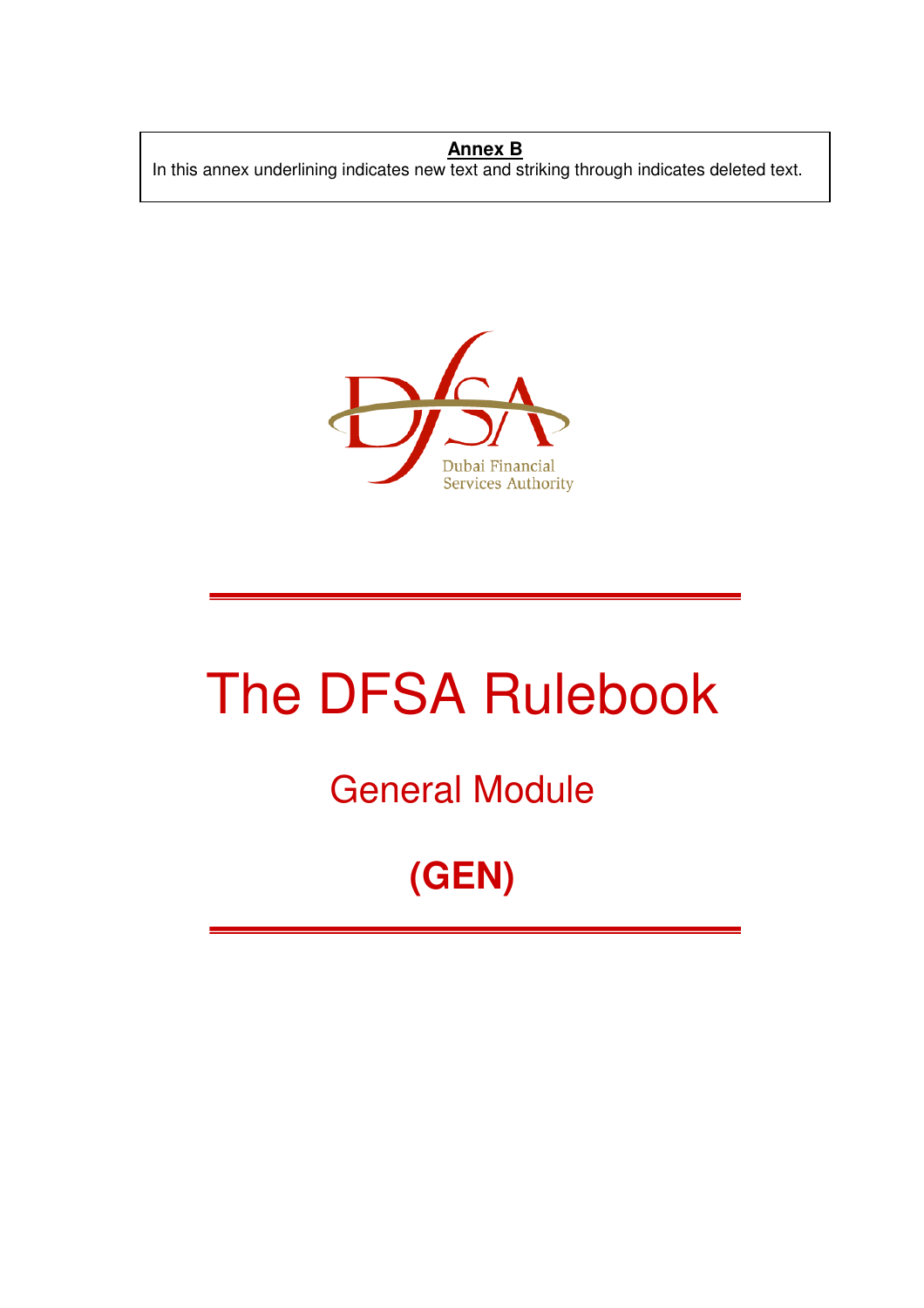#### **Annex B**

In this annex underlining indicates new text and striking through indicates deleted text.



# The DFSA Rulebook

### General Module

## **(GEN)**